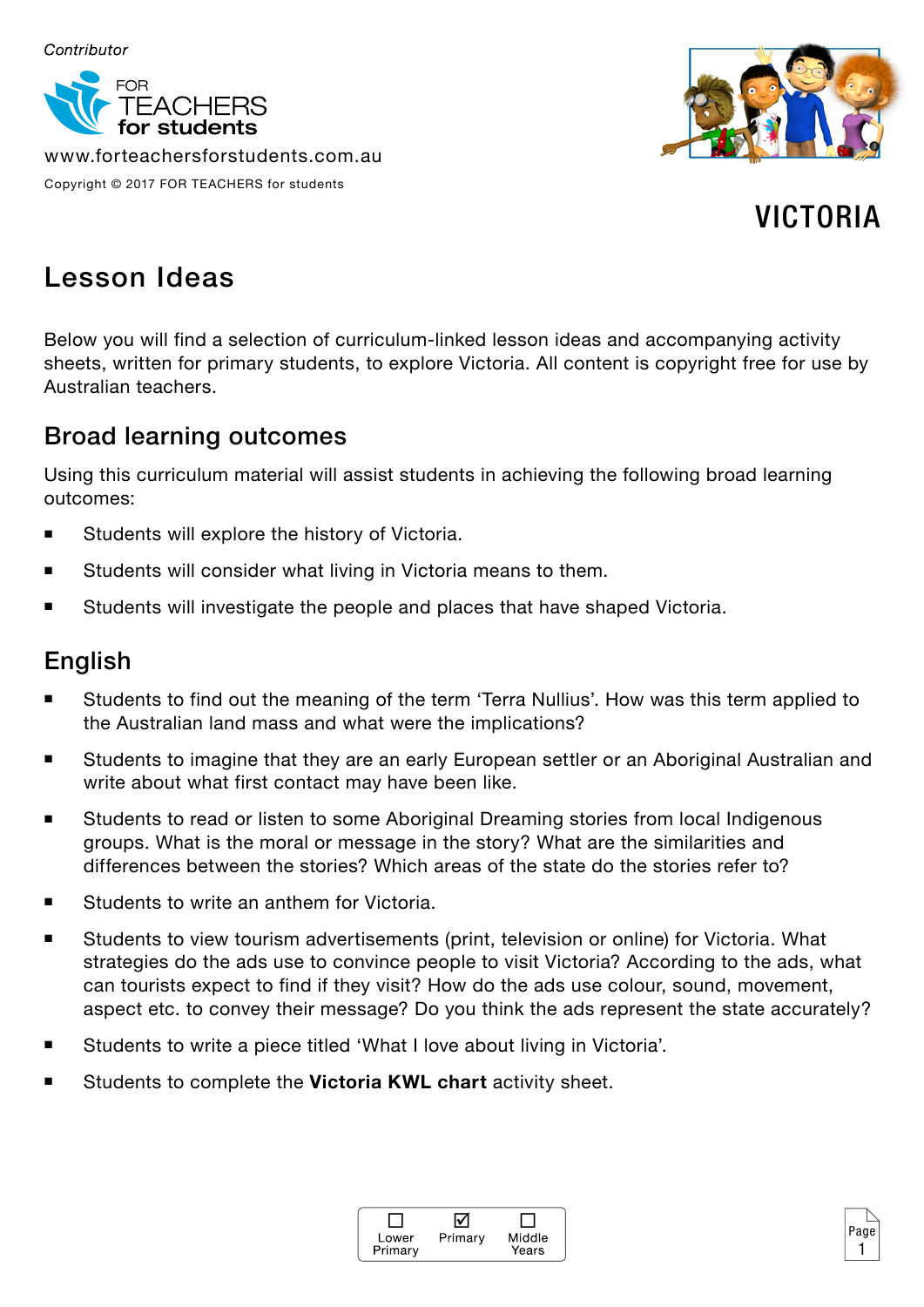

www.forteachersforstudents.com.au

Copyright © 2017 FOR TEACHERS for students

VICTORIA

# Lesson Ideas

Below you will find a selection of curriculum-linked lesson ideas and accompanying activity sheets, written for primary students, to explore Victoria. All content is copyright free for use by Australian teachers.

## Broad learning outcomes

Using this curriculum material will assist students in achieving the following broad learning outcomes:

- **Students will explore the history of Victoria.**
- Students will consider what living in Victoria means to them.
- Students will investigate the people and places that have shaped Victoria.

## English

- Students to find out the meaning of the term 'Terra Nullius'. How was this term applied to the Australian land mass and what were the implications?
- Students to imagine that they are an early European settler or an Aboriginal Australian and write about what first contact may have been like.
- Students to read or listen to some Aboriginal Dreaming stories from local Indigenous groups. What is the moral or message in the story? What are the similarities and differences between the stories? Which areas of the state do the stories refer to?
- Students to write an anthem for Victoria.
- Students to view tourism advertisements (print, television or online) for Victoria. What strategies do the ads use to convince people to visit Victoria? According to the ads, what can tourists expect to find if they visit? How do the ads use colour, sound, movement, aspect etc. to convey their message? Do you think the ads represent the state accurately?
- Students to write a piece titled 'What I love about living in Victoria'.
- Students to complete the **Victoria KWL chart** activity sheet.



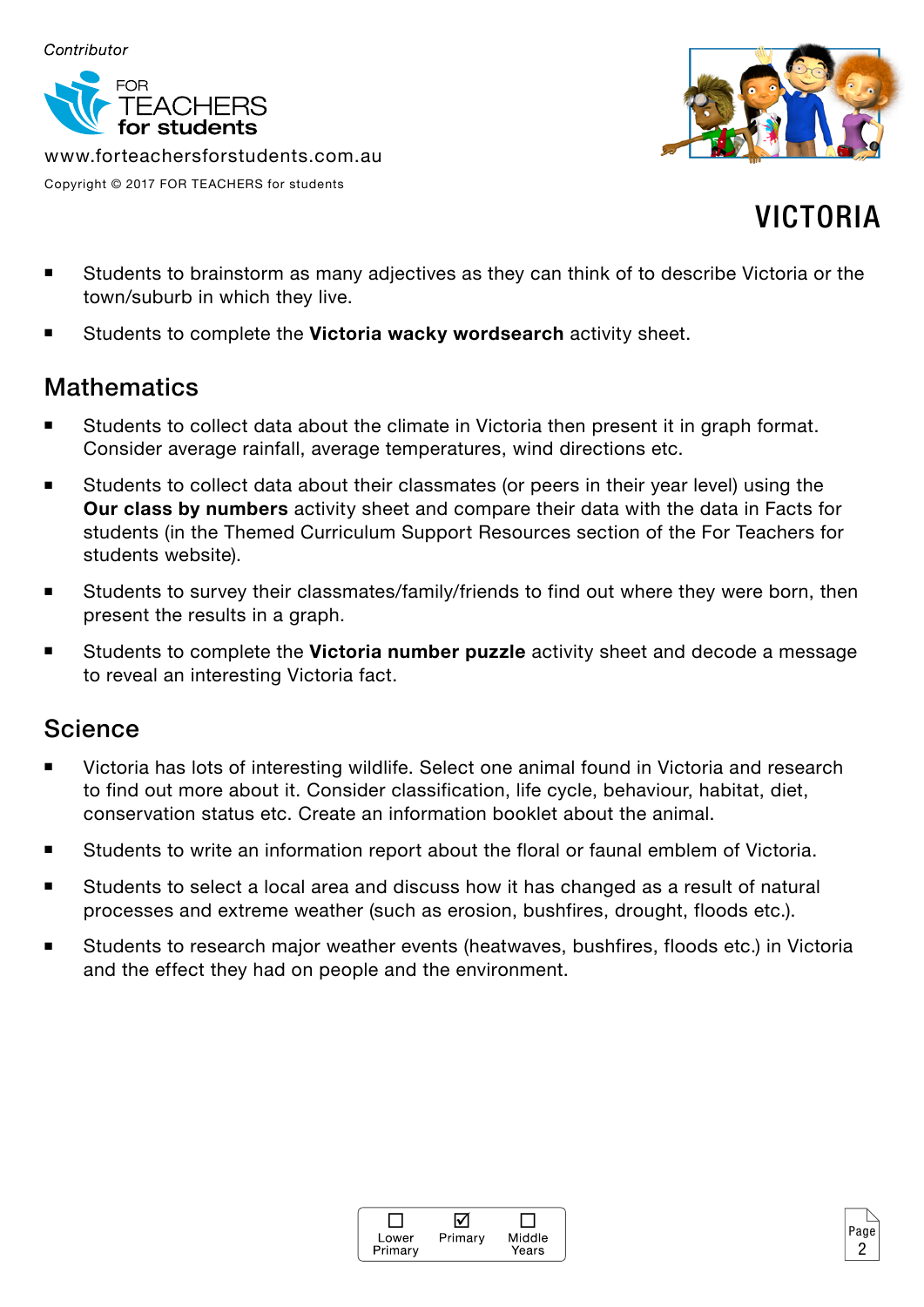

www.forteachersforstudents.com.au Copyright © 2017 FOR TEACHERS for students



# VICTORIA

2

- Students to brainstorm as many adjectives as they can think of to describe Victoria or the town/suburb in which they live.
- Students to complete the **Victoria wacky wordsearch** activity sheet.

### **Mathematics**

- Students to collect data about the climate in Victoria then present it in graph format. Consider average rainfall, average temperatures, wind directions etc.
- Students to collect data about their classmates (or peers in their year level) using the **Our class by numbers** activity sheet and compare their data with the data in Facts for students (in the Themed Curriculum Support Resources section of the For Teachers for students website).
- Students to survey their classmates/family/friends to find out where they were born, then present the results in a graph.
- Students to complete the **Victoria number puzzle** activity sheet and decode a message to reveal an interesting Victoria fact.

## Science

- Victoria has lots of interesting wildlife. Select one animal found in Victoria and research to find out more about it. Consider classification, life cycle, behaviour, habitat, diet, conservation status etc. Create an information booklet about the animal.
- **Students to write an information report about the floral or faunal emblem of Victoria.**
- Students to select a local area and discuss how it has changed as a result of natural processes and extreme weather (such as erosion, bushfires, drought, floods etc.).
- Students to research major weather events (heatwaves, bushfires, floods etc.) in Victoria and the effect they had on people and the environment.

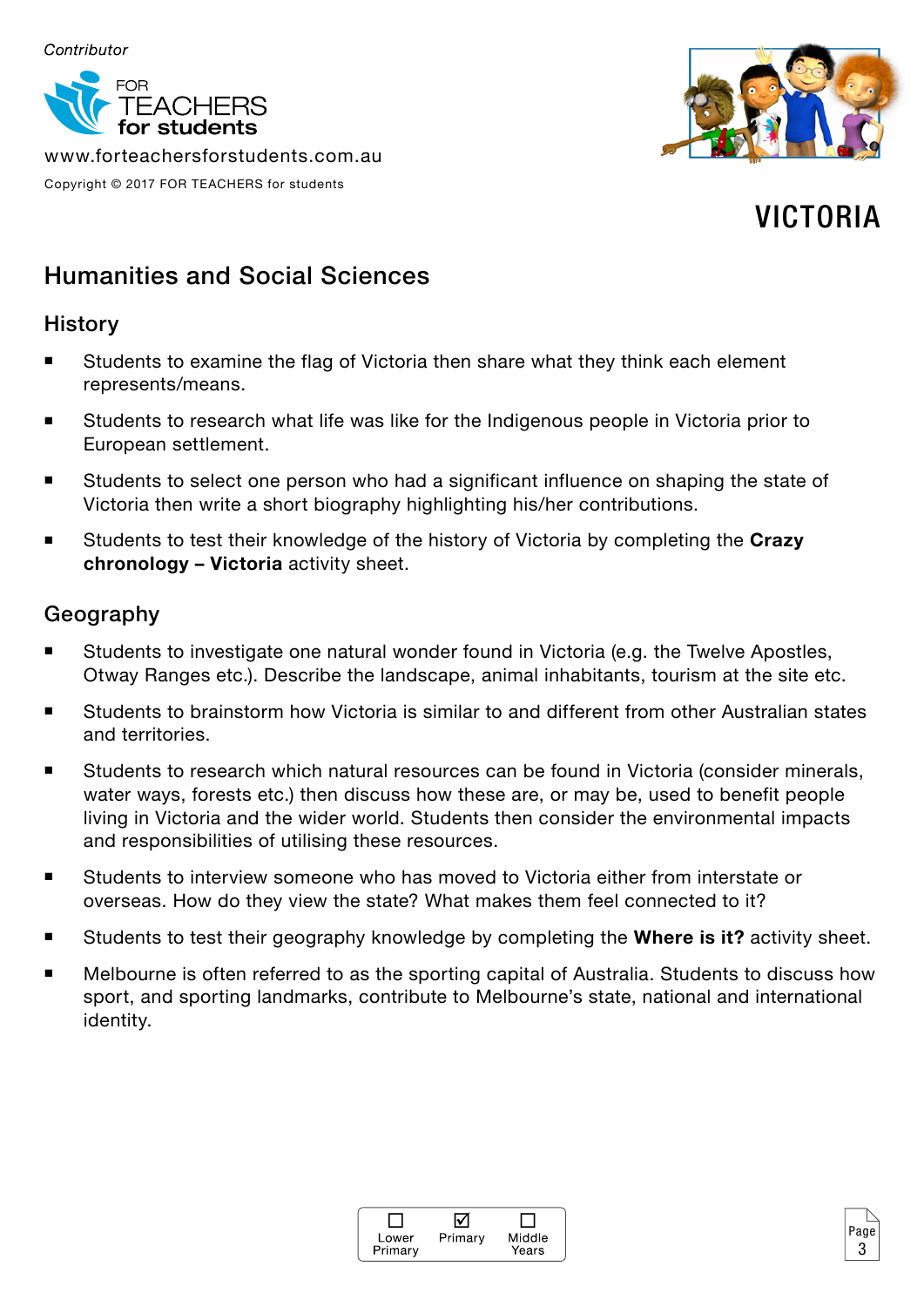

www.forteachersforstudents.com.au

Copyright © 2017 FOR TEACHERS for students



# VICTORIA

3

## Humanities and Social Sciences

#### **History**

- Students to examine the flag of Victoria then share what they think each element represents/means.
- Students to research what life was like for the Indigenous people in Victoria prior to European settlement.
- Students to select one person who had a significant influence on shaping the state of Victoria then write a short biography highlighting his/her contributions.
- Students to test their knowledge of the history of Victoria by completing the **Crazy chronology – Victoria** activity sheet.

#### Geography

- Students to investigate one natural wonder found in Victoria (e.g. the Twelve Apostles, Otway Ranges etc.). Describe the landscape, animal inhabitants, tourism at the site etc.
- Students to brainstorm how Victoria is similar to and different from other Australian states and territories.
- Students to research which natural resources can be found in Victoria (consider minerals, water ways, forests etc.) then discuss how these are, or may be, used to benefit people living in Victoria and the wider world. Students then consider the environmental impacts and responsibilities of utilising these resources.
- Students to interview someone who has moved to Victoria either from interstate or overseas. How do they view the state? What makes them feel connected to it?
- Students to test their geography knowledge by completing the **Where is it?** activity sheet.
- Melbourne is often referred to as the sporting capital of Australia. Students to discuss how sport, and sporting landmarks, contribute to Melbourne's state, national and international identity.

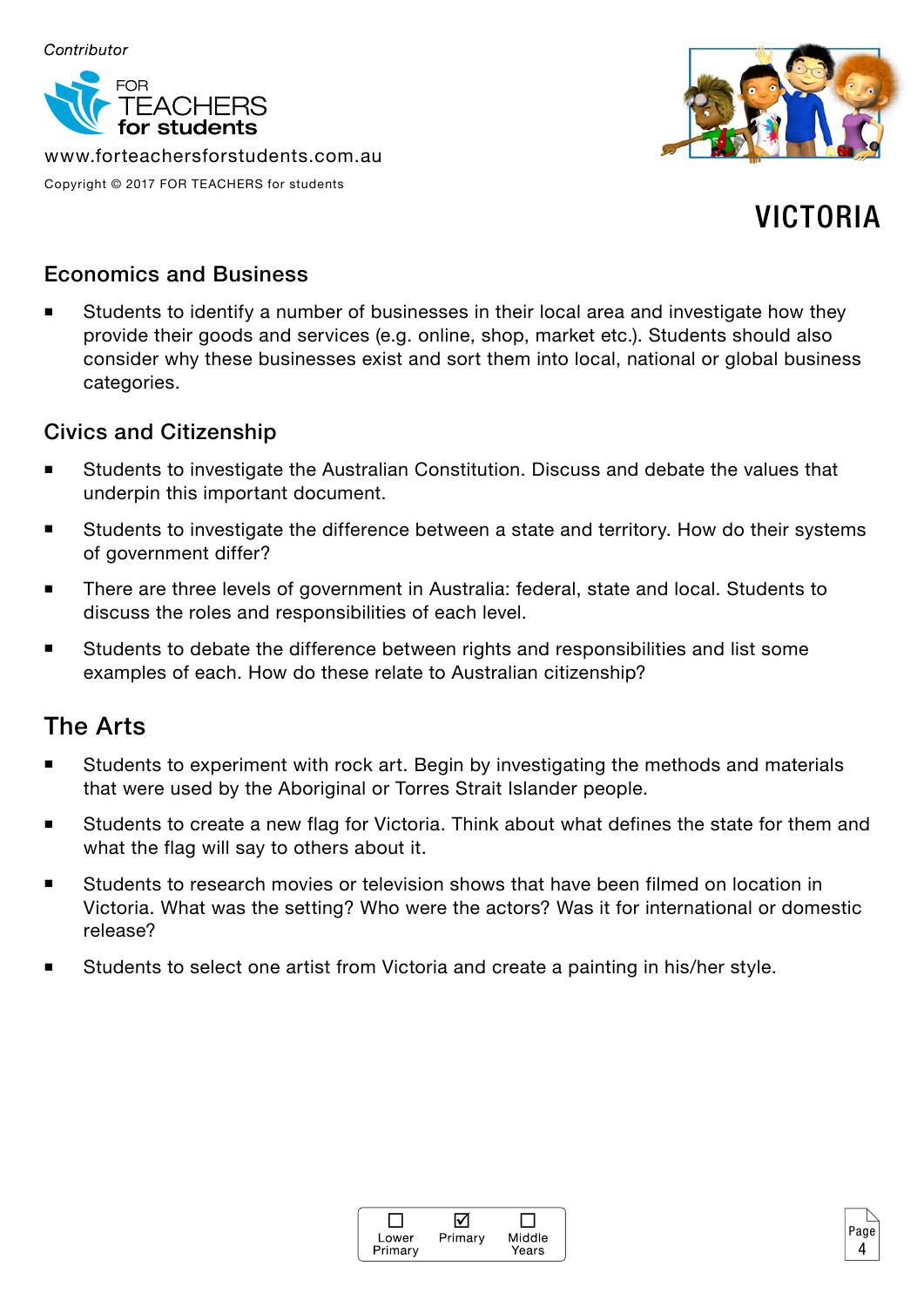

www.forteachersforstudents.com.au Copyright © 2017 FOR TEACHERS for students



# VICTORIA

4

#### Economics and Business

 Students to identify a number of businesses in their local area and investigate how they provide their goods and services (e.g. online, shop, market etc.). Students should also consider why these businesses exist and sort them into local, national or global business categories.

#### Civics and Citizenship

- Students to investigate the Australian Constitution. Discuss and debate the values that underpin this important document.
- Students to investigate the difference between a state and territory. How do their systems of government differ?
- There are three levels of government in Australia: federal, state and local. Students to discuss the roles and responsibilities of each level.
- Students to debate the difference between rights and responsibilities and list some examples of each. How do these relate to Australian citizenship?

### The Arts

- Students to experiment with rock art. Begin by investigating the methods and materials that were used by the Aboriginal or Torres Strait Islander people.
- Students to create a new flag for Victoria. Think about what defines the state for them and what the flag will say to others about it.
- Students to research movies or television shows that have been filmed on location in Victoria. What was the setting? Who were the actors? Was it for international or domestic release?
- Students to select one artist from Victoria and create a painting in his/her style.